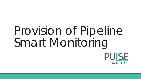# Provision of Pipeline Smart Monitoring

PUISE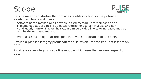# Scope



Provide an added Module that provides troubleshooting for the potential locations of faults and losses:

◦ Software-based method and Hardware-based method. Both methods can be implemented as per pipeline operators requirement to continuously and noncontinuously monitor. Further, the system can be divided into software based method and hardware based method.

Provide a 3D mapping of all their pipelines with GPS location of all points;

Provide a pipeline integrity prediction module which uses the frequent inspection data;

Provide a valve integrity predictive module which uses the frequent inspection data.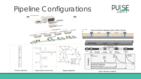## Pipeline Configurations



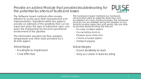#### Provide an added Module that provides troubleshooting for the potential locations of faults and losses



The Software based methods often loosely referred to as rely upon field measurement and instrumentation. Algorithms within the systems provide an estimate of the sensitivity that can be expected given the type of instrument used, and given the engineering factors and operational environment of the pipeline.

The information required are flow, pressure, temperature and other data provided by a SCADA system.

#### Advantage

- It is simple to implement
- Cost effective

The hardware-based methods is a hardware devices that used to assist the detection and localisation of a leak, faults and loses. The hardware devices can be installed along the pipeline or as a tools for routine inspection and survey. We are able to provide solutions along the lines of:

- Acoustic emission system
- Gas sampling devices
- Pressure wave detectors
- Chemical based system
- Inteligent pigging

#### Advantages

- Good sensitivity to leak
- Very accurate in leak locating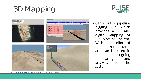



• Carry out a pipeline pigging run which provides a 3 D and digital mapping of the pipeline system . With <sup>a</sup> baseline of the current status and can be used in the on -going monitoring and analysis of the system .

XYZ -mapping synchronized with inspection data